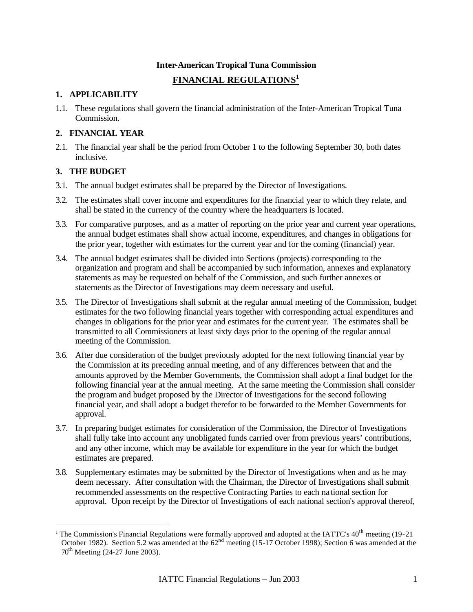### **Inter-American Tropical Tuna Commission**

# **FINANCIAL REGULATIONS 1**

### **1. APPLICABILITY**

1.1. These regulations shall govern the financial administration of the Inter-American Tropical Tuna Commission.

### **2. FINANCIAL YEAR**

2.1. The financial year shall be the period from October 1 to the following September 30, both dates inclusive.

### **3. THE BUDGET**

l

- 3.1. The annual budget estimates shall be prepared by the Director of Investigations.
- 3.2. The estimates shall cover income and expenditures for the financial year to which they relate, and shall be stated in the currency of the country where the headquarters is located.
- 3.3. For comparative purposes, and as a matter of reporting on the prior year and current year operations, the annual budget estimates shall show actual income, expenditures, and changes in obligations for the prior year, together with estimates for the current year and for the coming (financial) year.
- 3.4. The annual budget estimates shall be divided into Sections (projects) corresponding to the organization and program and shall be accompanied by such information, annexes and explanatory statements as may be requested on behalf of the Commission, and such further annexes or statements as the Director of Investigations may deem necessary and useful.
- 3.5. The Director of Investigations shall submit at the regular annual meeting of the Commission, budget estimates for the two following financial years together with corresponding actual expenditures and changes in obligations for the prior year and estimates for the current year. The estimates shall be transmitted to all Commissioners at least sixty days prior to the opening of the regular annual meeting of the Commission.
- 3.6. After due consideration of the budget previously adopted for the next following financial year by the Commission at its preceding annual meeting, and of any differences between that and the amounts approved by the Member Governments, the Commission shall adopt a final budget for the following financial year at the annual meeting. At the same meeting the Commission shall consider the program and budget proposed by the Director of Investigations for the second following financial year, and shall adopt a budget therefor to be forwarded to the Member Governments for approval.
- 3.7. In preparing budget estimates for consideration of the Commission, the Director of Investigations shall fully take into account any unobligated funds carried over from previous years' contributions, and any other income, which may be available for expenditure in the year for which the budget estimates are prepared.
- 3.8. Supplementary estimates may be submitted by the Director of Investigations when and as he may deem necessary. After consultation with the Chairman, the Director of Investigations shall submit recommended assessments on the respective Contracting Parties to each na tional section for approval. Upon receipt by the Director of Investigations of each national section's approval thereof,

<sup>&</sup>lt;sup>1</sup> The Commission's Financial Regulations were formally approved and adopted at the IATTC's  $40^{th}$  meeting (19-21) October 1982). Section 5.2 was amended at the 62<sup>nd</sup> meeting (15-17 October 1998); Section 6 was amended at the  $70^{th}$  Meeting (24-27 June 2003).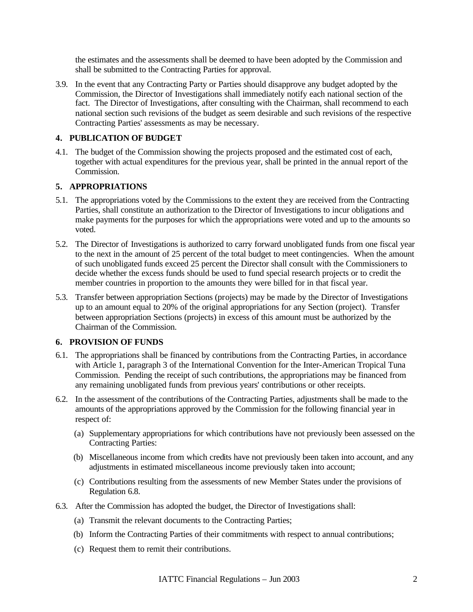the estimates and the assessments shall be deemed to have been adopted by the Commission and shall be submitted to the Contracting Parties for approval.

3.9. In the event that any Contracting Party or Parties should disapprove any budget adopted by the Commission, the Director of Investigations shall immediately notify each national section of the fact. The Director of Investigations, after consulting with the Chairman, shall recommend to each national section such revisions of the budget as seem desirable and such revisions of the respective Contracting Parties' assessments as may be necessary.

# **4. PUBLICATION OF BUDGET**

4.1. The budget of the Commission showing the projects proposed and the estimated cost of each, together with actual expenditures for the previous year, shall be printed in the annual report of the Commission.

# **5. APPROPRIATIONS**

- 5.1. The appropriations voted by the Commissions to the extent they are received from the Contracting Parties, shall constitute an authorization to the Director of Investigations to incur obligations and make payments for the purposes for which the appropriations were voted and up to the amounts so voted.
- 5.2. The Director of Investigations is authorized to carry forward unobligated funds from one fiscal year to the next in the amount of 25 percent of the total budget to meet contingencies. When the amount of such unobligated funds exceed 25 percent the Director shall consult with the Commissioners to decide whether the excess funds should be used to fund special research projects or to credit the member countries in proportion to the amounts they were billed for in that fiscal year.
- 5.3. Transfer between appropriation Sections (projects) may be made by the Director of Investigations up to an amount equal to 20% of the original appropriations for any Section (project). Transfer between appropriation Sections (projects) in excess of this amount must be authorized by the Chairman of the Commission.

# **6. PROVISION OF FUNDS**

- 6.1. The appropriations shall be financed by contributions from the Contracting Parties, in accordance with Article 1, paragraph 3 of the International Convention for the Inter-American Tropical Tuna Commission. Pending the receipt of such contributions, the appropriations may be financed from any remaining unobligated funds from previous years' contributions or other receipts.
- 6.2. In the assessment of the contributions of the Contracting Parties, adjustments shall be made to the amounts of the appropriations approved by the Commission for the following financial year in respect of:
	- (a) Supplementary appropriations for which contributions have not previously been assessed on the Contracting Parties:
	- (b) Miscellaneous income from which credits have not previously been taken into account, and any adjustments in estimated miscellaneous income previously taken into account;
	- (c) Contributions resulting from the assessments of new Member States under the provisions of Regulation 6.8.
- 6.3. After the Commission has adopted the budget, the Director of Investigations shall:
	- (a) Transmit the relevant documents to the Contracting Parties;
	- (b) Inform the Contracting Parties of their commitments with respect to annual contributions;
	- (c) Request them to remit their contributions.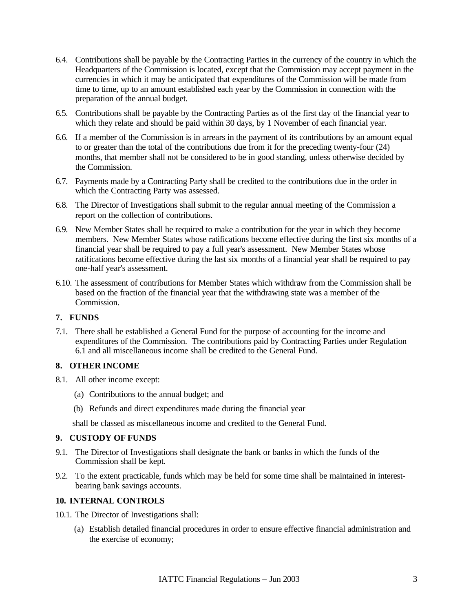- 6.4. Contributions shall be payable by the Contracting Parties in the currency of the country in which the Headquarters of the Commission is located, except that the Commission may accept payment in the currencies in which it may be anticipated that expenditures of the Commission will be made from time to time, up to an amount established each year by the Commission in connection with the preparation of the annual budget.
- 6.5. Contributions shall be payable by the Contracting Parties as of the first day of the financial year to which they relate and should be paid within 30 days, by 1 November of each financial year.
- 6.6. If a member of the Commission is in arrears in the payment of its contributions by an amount equal to or greater than the total of the contributions due from it for the preceding twenty-four (24) months, that member shall not be considered to be in good standing, unless otherwise decided by the Commission.
- 6.7. Payments made by a Contracting Party shall be credited to the contributions due in the order in which the Contracting Party was assessed.
- 6.8. The Director of Investigations shall submit to the regular annual meeting of the Commission a report on the collection of contributions.
- 6.9. New Member States shall be required to make a contribution for the year in which they become members. New Member States whose ratifications become effective during the first six months of a financial year shall be required to pay a full year's assessment. New Member States whose ratifications become effective during the last six months of a financial year shall be required to pay one-half year's assessment.
- 6.10. The assessment of contributions for Member States which withdraw from the Commission shall be based on the fraction of the financial year that the withdrawing state was a member of the Commission.

# **7. FUNDS**

7.1. There shall be established a General Fund for the purpose of accounting for the income and expenditures of the Commission. The contributions paid by Contracting Parties under Regulation  $6.\dot{1}$  and all miscellaneous income shall be credited to the General Fund.

# **8. OTHER INCOME**

- 8.1. All other income except:
	- (a) Contributions to the annual budget; and
	- (b) Refunds and direct expenditures made during the financial year

shall be classed as miscellaneous income and credited to the General Fund.

#### **9. CUSTODY OF FUNDS**

- 9.1. The Director of Investigations shall designate the bank or banks in which the funds of the Commission shall be kept.
- 9.2. To the extent practicable, funds which may be held for some time shall be maintained in interestbearing bank savings accounts.

#### **10. INTERNAL CONTROLS**

- 10.1. The Director of Investigations shall:
	- (a) Establish detailed financial procedures in order to ensure effective financial administration and the exercise of economy;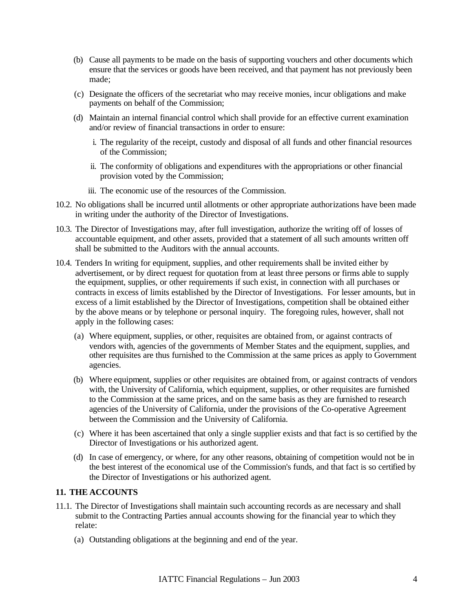- (b) Cause all payments to be made on the basis of supporting vouchers and other documents which ensure that the services or goods have been received, and that payment has not previously been made;
- (c) Designate the officers of the secretariat who may receive monies, incur obligations and make payments on behalf of the Commission;
- (d) Maintain an internal financial control which shall provide for an effective current examination and/or review of financial transactions in order to ensure:
	- i. The regularity of the receipt, custody and disposal of all funds and other financial resources of the Commission;
	- ii. The conformity of obligations and expenditures with the appropriations or other financial provision voted by the Commission;
	- iii. The economic use of the resources of the Commission.
- 10.2. No obligations shall be incurred until allotments or other appropriate authorizations have been made in writing under the authority of the Director of Investigations.
- 10.3. The Director of Investigations may, after full investigation, authorize the writing off of losses of accountable equipment, and other assets, provided that a statement of all such amounts written off shall be submitted to the Auditors with the annual accounts.
- 10.4. Tenders In writing for equipment, supplies, and other requirements shall be invited either by advertisement, or by direct request for quotation from at least three persons or firms able to supply the equipment, supplies, or other requirements if such exist, in connection with all purchases or contracts in excess of limits established by the Director of Investigations. For lesser amounts, but in excess of a limit established by the Director of Investigations, competition shall be obtained either by the above means or by telephone or personal inquiry. The foregoing rules, however, shall not apply in the following cases:
	- (a) Where equipment, supplies, or other, requisites are obtained from, or against contracts of vendors with, agencies of the governments of Member States and the equipment, supplies, and other requisites are thus furnished to the Commission at the same prices as apply to Government agencies.
	- (b) Where equipment, supplies or other requisites are obtained from, or against contracts of vendors with, the University of California, which equipment, supplies, or other requisites are furnished to the Commission at the same prices, and on the same basis as they are furnished to research agencies of the University of California, under the provisions of the Co-operative Agreement between the Commission and the University of California.
	- (c) Where it has been ascertained that only a single supplier exists and that fact is so certified by the Director of Investigations or his authorized agent.
	- (d) In case of emergency, or where, for any other reasons, obtaining of competition would not be in the best interest of the economical use of the Commission's funds, and that fact is so certified by the Director of Investigations or his authorized agent.

#### **11. THE ACCOUNTS**

- 11.1. The Director of Investigations shall maintain such accounting records as are necessary and shall submit to the Contracting Parties annual accounts showing for the financial year to which they relate:
	- (a) Outstanding obligations at the beginning and end of the year.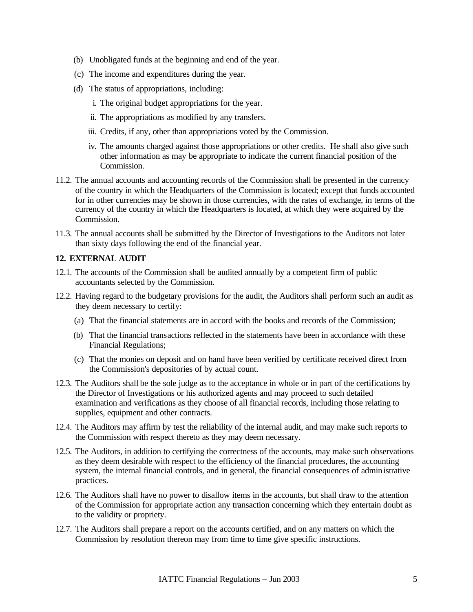- (b) Unobligated funds at the beginning and end of the year.
- (c) The income and expenditures during the year.
- (d) The status of appropriations, including:
	- i. The original budget appropriations for the year.
	- ii. The appropriations as modified by any transfers.
	- iii. Credits, if any, other than appropriations voted by the Commission.
	- iv. The amounts charged against those appropriations or other credits. He shall also give such other information as may be appropriate to indicate the current financial position of the Commission.
- 11.2. The annual accounts and accounting records of the Commission shall be presented in the currency of the country in which the Headquarters of the Commission is located; except that funds accounted for in other currencies may be shown in those currencies, with the rates of exchange, in terms of the currency of the country in which the Headquarters is located, at which they were acquired by the Commission.
- 11.3. The annual accounts shall be submitted by the Director of Investigations to the Auditors not later than sixty days following the end of the financial year.

#### **12. EXTERNAL AUDIT**

- 12.1. The accounts of the Commission shall be audited annually by a competent firm of public accountants selected by the Commission.
- 12.2. Having regard to the budgetary provisions for the audit, the Auditors shall perform such an audit as they deem necessary to certify:
	- (a) That the financial statements are in accord with the books and records of the Commission;
	- (b) That the financial transactions reflected in the statements have been in accordance with these Financial Regulations;
	- (c) That the monies on deposit and on hand have been verified by certificate received direct from the Commission's depositories of by actual count.
- 12.3. The Auditors shall be the sole judge as to the acceptance in whole or in part of the certifications by the Director of Investigations or his authorized agents and may proceed to such detailed examination and verifications as they choose of all financial records, including those relating to supplies, equipment and other contracts.
- 12.4. The Auditors may affirm by test the reliability of the internal audit, and may make such reports to the Commission with respect thereto as they may deem necessary.
- 12.5. The Auditors, in addition to certifying the correctness of the accounts, may make such observations as they deem desirable with respect to the efficiency of the financial procedures, the accounting system, the internal financial controls, and in general, the financial consequences of administrative practices.
- 12.6. The Auditors shall have no power to disallow items in the accounts, but shall draw to the attention of the Commission for appropriate action any transaction concerning which they entertain doubt as to the validity or propriety.
- 12.7. The Auditors shall prepare a report on the accounts certified, and on any matters on which the Commission by resolution thereon may from time to time give specific instructions.